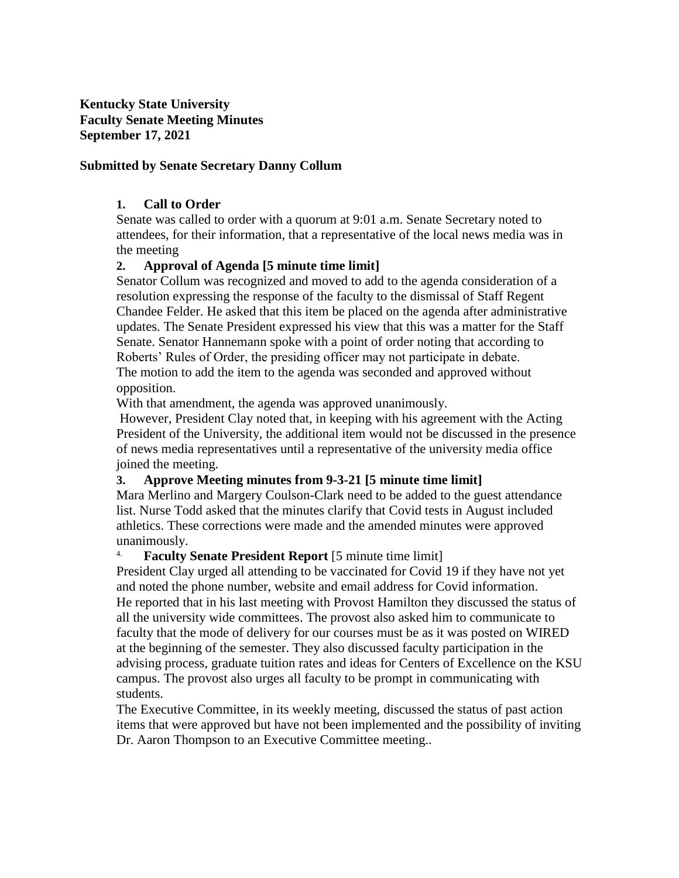**Kentucky State University Faculty Senate Meeting Minutes September 17, 2021**

#### **Submitted by Senate Secretary Danny Collum**

#### **1. Call to Order**

Senate was called to order with a quorum at 9:01 a.m. Senate Secretary noted to attendees, for their information, that a representative of the local news media was in the meeting

#### **2. Approval of Agenda [5 minute time limit]**

Senator Collum was recognized and moved to add to the agenda consideration of a resolution expressing the response of the faculty to the dismissal of Staff Regent Chandee Felder. He asked that this item be placed on the agenda after administrative updates. The Senate President expressed his view that this was a matter for the Staff Senate. Senator Hannemann spoke with a point of order noting that according to Roberts' Rules of Order, the presiding officer may not participate in debate. The motion to add the item to the agenda was seconded and approved without opposition.

With that amendment, the agenda was approved unanimously.

However, President Clay noted that, in keeping with his agreement with the Acting President of the University, the additional item would not be discussed in the presence of news media representatives until a representative of the university media office joined the meeting.

#### **3. Approve Meeting minutes from 9-3-21 [5 minute time limit]**

Mara Merlino and Margery Coulson-Clark need to be added to the guest attendance list. Nurse Todd asked that the minutes clarify that Covid tests in August included athletics. These corrections were made and the amended minutes were approved unanimously.

#### 4. **Faculty Senate President Report** [5 minute time limit]

President Clay urged all attending to be vaccinated for Covid 19 if they have not yet and noted the phone number, website and email address for Covid information. He reported that in his last meeting with Provost Hamilton they discussed the status of all the university wide committees. The provost also asked him to communicate to faculty that the mode of delivery for our courses must be as it was posted on WIRED at the beginning of the semester. They also discussed faculty participation in the advising process, graduate tuition rates and ideas for Centers of Excellence on the KSU campus. The provost also urges all faculty to be prompt in communicating with students.

The Executive Committee, in its weekly meeting, discussed the status of past action items that were approved but have not been implemented and the possibility of inviting Dr. Aaron Thompson to an Executive Committee meeting..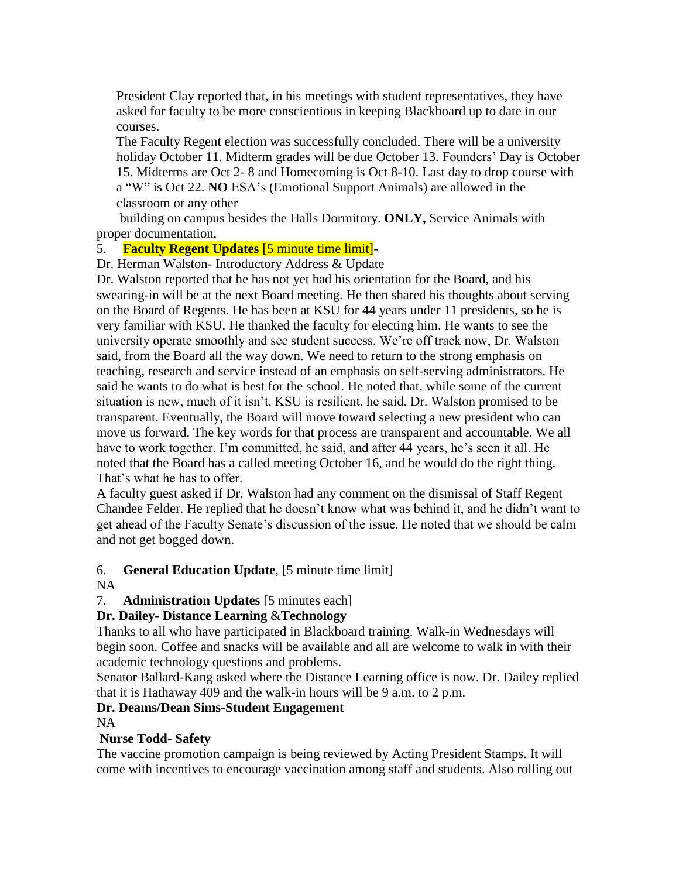President Clay reported that, in his meetings with student representatives, they have asked for faculty to be more conscientious in keeping Blackboard up to date in our courses.

The Faculty Regent election was successfully concluded. There will be a university holiday October 11. Midterm grades will be due October 13. Founders' Day is October 15. Midterms are Oct 2- 8 and Homecoming is Oct 8-10. Last day to drop course with a "W" is Oct 22. **NO** ESA's (Emotional Support Animals) are allowed in the classroom or any other

 building on campus besides the Halls Dormitory. **ONLY,** Service Animals with proper documentation.

#### 5. **Faculty Regent Updates** [5 minute time limit]-

Dr. Herman Walston- Introductory Address & Update

Dr. Walston reported that he has not yet had his orientation for the Board, and his swearing-in will be at the next Board meeting. He then shared his thoughts about serving on the Board of Regents. He has been at KSU for 44 years under 11 presidents, so he is very familiar with KSU. He thanked the faculty for electing him. He wants to see the university operate smoothly and see student success. We're off track now, Dr. Walston said, from the Board all the way down. We need to return to the strong emphasis on teaching, research and service instead of an emphasis on self-serving administrators. He said he wants to do what is best for the school. He noted that, while some of the current situation is new, much of it isn't. KSU is resilient, he said. Dr. Walston promised to be transparent. Eventually, the Board will move toward selecting a new president who can move us forward. The key words for that process are transparent and accountable. We all have to work together. I'm committed, he said, and after 44 years, he's seen it all. He noted that the Board has a called meeting October 16, and he would do the right thing. That's what he has to offer.

A faculty guest asked if Dr. Walston had any comment on the dismissal of Staff Regent Chandee Felder. He replied that he doesn't know what was behind it, and he didn't want to get ahead of the Faculty Senate's discussion of the issue. He noted that we should be calm and not get bogged down.

## 6. **General Education Update**, [5 minute time limit]

## NA

7. **Administration Updates** [5 minutes each]

## **Dr. Dailey**- **Distance Learning** &**Technology**

Thanks to all who have participated in Blackboard training. Walk-in Wednesdays will begin soon. Coffee and snacks will be available and all are welcome to walk in with their academic technology questions and problems.

Senator Ballard-Kang asked where the Distance Learning office is now. Dr. Dailey replied that it is Hathaway 409 and the walk-in hours will be 9 a.m. to 2 p.m.

# **Dr. Deams/Dean Sims**-**Student Engagement**

NA

## **Nurse Todd**- **Safety**

The vaccine promotion campaign is being reviewed by Acting President Stamps. It will come with incentives to encourage vaccination among staff and students. Also rolling out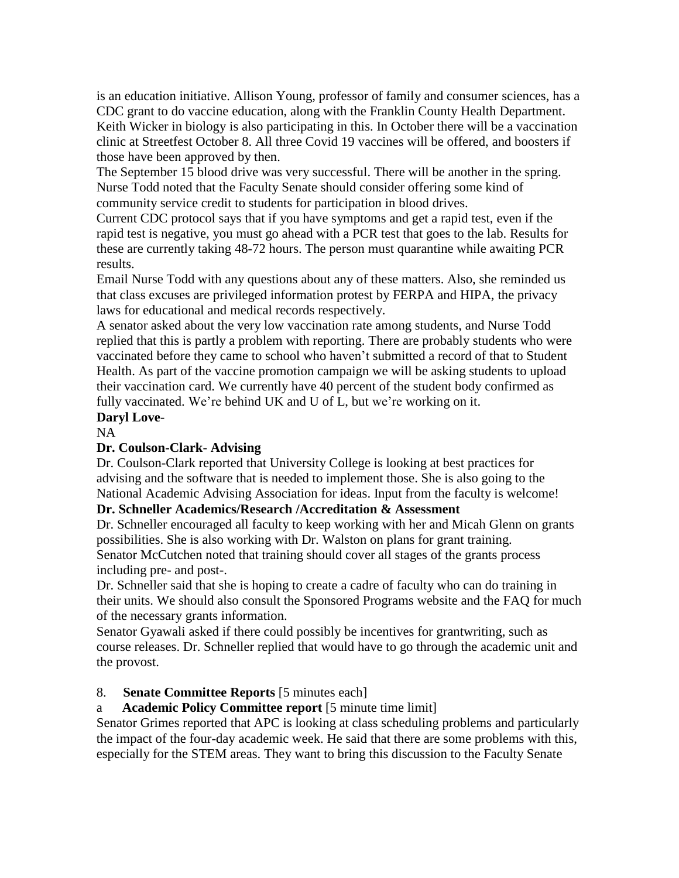is an education initiative. Allison Young, professor of family and consumer sciences, has a CDC grant to do vaccine education, along with the Franklin County Health Department. Keith Wicker in biology is also participating in this. In October there will be a vaccination clinic at Streetfest October 8. All three Covid 19 vaccines will be offered, and boosters if those have been approved by then.

The September 15 blood drive was very successful. There will be another in the spring. Nurse Todd noted that the Faculty Senate should consider offering some kind of community service credit to students for participation in blood drives.

Current CDC protocol says that if you have symptoms and get a rapid test, even if the rapid test is negative, you must go ahead with a PCR test that goes to the lab. Results for these are currently taking 48-72 hours. The person must quarantine while awaiting PCR results.

Email Nurse Todd with any questions about any of these matters. Also, she reminded us that class excuses are privileged information protest by FERPA and HIPA, the privacy laws for educational and medical records respectively.

A senator asked about the very low vaccination rate among students, and Nurse Todd replied that this is partly a problem with reporting. There are probably students who were vaccinated before they came to school who haven't submitted a record of that to Student Health. As part of the vaccine promotion campaign we will be asking students to upload their vaccination card. We currently have 40 percent of the student body confirmed as fully vaccinated. We're behind UK and U of L, but we're working on it. **Daryl Love**-

# NA

## **Dr. Coulson-Clark**- **Advising**

Dr. Coulson-Clark reported that University College is looking at best practices for advising and the software that is needed to implement those. She is also going to the National Academic Advising Association for ideas. Input from the faculty is welcome!

# **Dr. Schneller Academics/Research /Accreditation & Assessment**

Dr. Schneller encouraged all faculty to keep working with her and Micah Glenn on grants possibilities. She is also working with Dr. Walston on plans for grant training. Senator McCutchen noted that training should cover all stages of the grants process including pre- and post-.

Dr. Schneller said that she is hoping to create a cadre of faculty who can do training in their units. We should also consult the Sponsored Programs website and the FAQ for much of the necessary grants information.

Senator Gyawali asked if there could possibly be incentives for grantwriting, such as course releases. Dr. Schneller replied that would have to go through the academic unit and the provost.

## 8. **Senate Committee Reports** [5 minutes each]

## a **Academic Policy Committee report** [5 minute time limit]

Senator Grimes reported that APC is looking at class scheduling problems and particularly the impact of the four-day academic week. He said that there are some problems with this, especially for the STEM areas. They want to bring this discussion to the Faculty Senate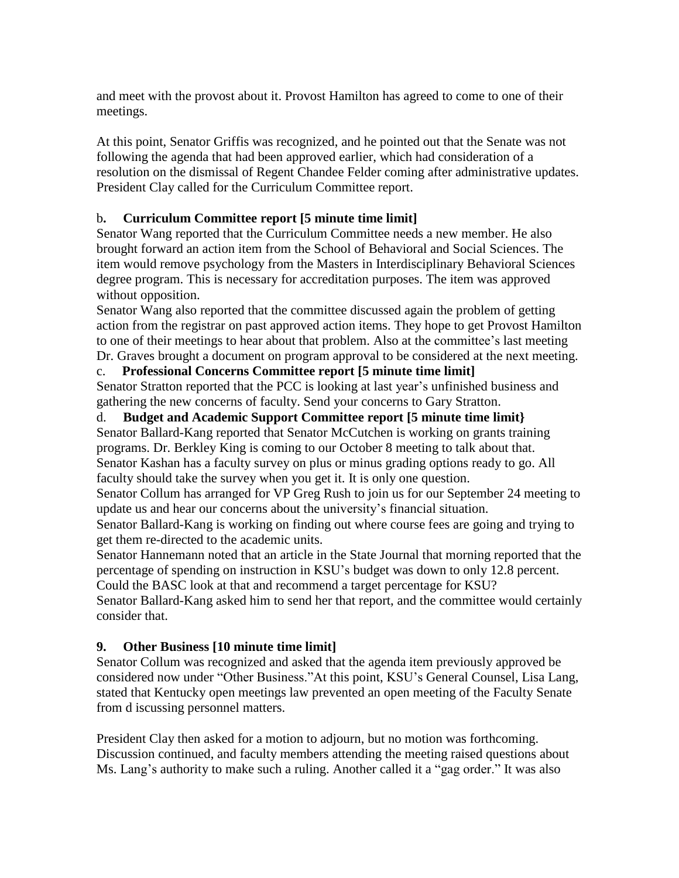and meet with the provost about it. Provost Hamilton has agreed to come to one of their meetings.

At this point, Senator Griffis was recognized, and he pointed out that the Senate was not following the agenda that had been approved earlier, which had consideration of a resolution on the dismissal of Regent Chandee Felder coming after administrative updates. President Clay called for the Curriculum Committee report.

# b**. Curriculum Committee report [5 minute time limit]**

Senator Wang reported that the Curriculum Committee needs a new member. He also brought forward an action item from the School of Behavioral and Social Sciences. The item would remove psychology from the Masters in Interdisciplinary Behavioral Sciences degree program. This is necessary for accreditation purposes. The item was approved without opposition.

Senator Wang also reported that the committee discussed again the problem of getting action from the registrar on past approved action items. They hope to get Provost Hamilton to one of their meetings to hear about that problem. Also at the committee's last meeting Dr. Graves brought a document on program approval to be considered at the next meeting.

# c. **Professional Concerns Committee report [5 minute time limit]**

Senator Stratton reported that the PCC is looking at last year's unfinished business and gathering the new concerns of faculty. Send your concerns to Gary Stratton.

# d. **Budget and Academic Support Committee report [5 minute time limit}**

Senator Ballard-Kang reported that Senator McCutchen is working on grants training programs. Dr. Berkley King is coming to our October 8 meeting to talk about that. Senator Kashan has a faculty survey on plus or minus grading options ready to go. All faculty should take the survey when you get it. It is only one question.

Senator Collum has arranged for VP Greg Rush to join us for our September 24 meeting to update us and hear our concerns about the university's financial situation.

Senator Ballard-Kang is working on finding out where course fees are going and trying to get them re-directed to the academic units.

Senator Hannemann noted that an article in the State Journal that morning reported that the percentage of spending on instruction in KSU's budget was down to only 12.8 percent. Could the BASC look at that and recommend a target percentage for KSU?

Senator Ballard-Kang asked him to send her that report, and the committee would certainly consider that.

# **9. Other Business [10 minute time limit]**

Senator Collum was recognized and asked that the agenda item previously approved be considered now under "Other Business."At this point, KSU's General Counsel, Lisa Lang, stated that Kentucky open meetings law prevented an open meeting of the Faculty Senate from d iscussing personnel matters.

President Clay then asked for a motion to adjourn, but no motion was forthcoming. Discussion continued, and faculty members attending the meeting raised questions about Ms. Lang's authority to make such a ruling. Another called it a "gag order." It was also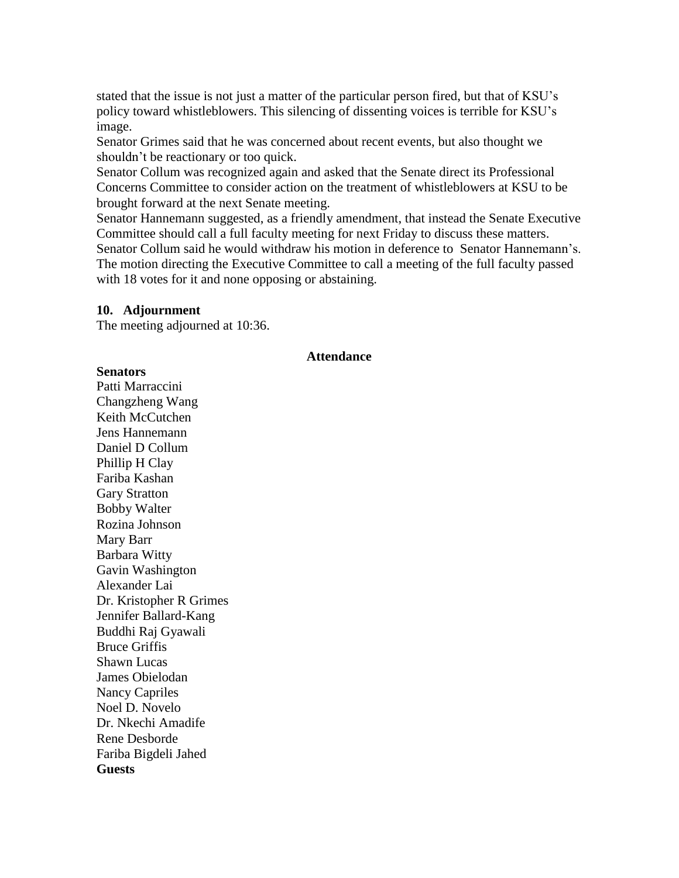stated that the issue is not just a matter of the particular person fired, but that of KSU's policy toward whistleblowers. This silencing of dissenting voices is terrible for KSU's image.

Senator Grimes said that he was concerned about recent events, but also thought we shouldn't be reactionary or too quick.

Senator Collum was recognized again and asked that the Senate direct its Professional Concerns Committee to consider action on the treatment of whistleblowers at KSU to be brought forward at the next Senate meeting.

Senator Hannemann suggested, as a friendly amendment, that instead the Senate Executive Committee should call a full faculty meeting for next Friday to discuss these matters. Senator Collum said he would withdraw his motion in deference to Senator Hannemann's. The motion directing the Executive Committee to call a meeting of the full faculty passed with 18 votes for it and none opposing or abstaining.

#### **10. Adjournment**

The meeting adjourned at 10:36.

#### **Attendance**

#### **Senators**

Patti Marraccini Changzheng Wang Keith McCutchen Jens Hannemann Daniel D Collum Phillip H Clay Fariba Kashan Gary Stratton Bobby Walter Rozina Johnson Mary Barr Barbara Witty Gavin Washington Alexander Lai Dr. Kristopher R Grimes Jennifer Ballard-Kang Buddhi Raj Gyawali Bruce Griffis Shawn Lucas James Obielodan Nancy Capriles Noel D. Novelo Dr. Nkechi Amadife Rene Desborde Fariba Bigdeli Jahed **Guests**